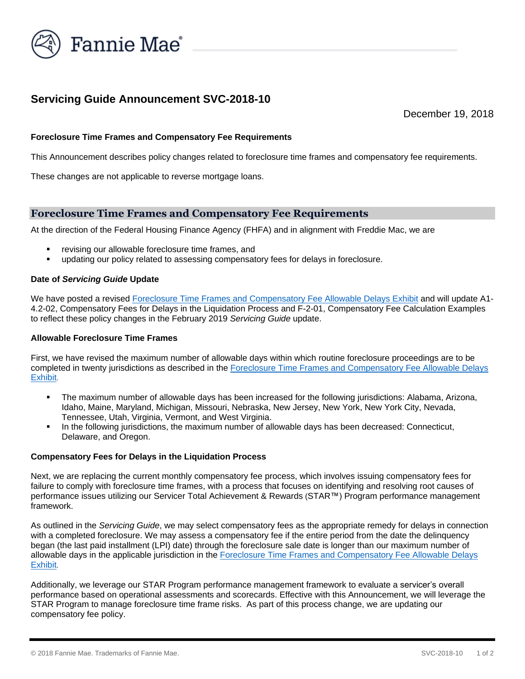

# **Servicing Guide Announcement SVC-2018-10**

December 19, 2018

## **Foreclosure Time Frames and Compensatory Fee Requirements**

This Announcement describes policy changes related to foreclosure time frames and compensatory fee requirements.

These changes are not applicable to reverse mortgage loans.

## **Foreclosure Time Frames and Compensatory Fee Requirements**

At the direction of the Federal Housing Finance Agency (FHFA) and in alignment with Freddie Mac, we are

- revising our allowable foreclosure time frames, and
- updating our policy related to assessing compensatory fees for delays in foreclosure.

#### **Date of** *Servicing Guide* **Update**

We have posted a revised [Foreclosure Time Frames and Compensatory Fee Allowable Delays Exhibit](https://www.fanniemae.com/content/guide_exhibit/foreclosure-timeframes-compensatory-fees-allowable-delays.pdf) and will update A1- 4.2-02, Compensatory Fees for Delays in the Liquidation Process and F-2-01, Compensatory Fee Calculation Examples to reflect these policy changes in the February 2019 *Servicing Guide* update.

#### **Allowable Foreclosure Time Frames**

First, we have revised the maximum number of allowable days within which routine foreclosure proceedings are to be completed in twenty jurisdictions as described in the [Foreclosure Time Frames and Compensatory Fee Allowable Delays](https://www.fanniemae.com/content/guide_exhibit/foreclosure-timeframes-compensatory-fees-allowable-delays.pdf)  [Exhibit](https://www.fanniemae.com/content/guide_exhibit/foreclosure-timeframes-compensatory-fees-allowable-delays.pdf).

- The maximum number of allowable days has been increased for the following jurisdictions: Alabama, Arizona, Idaho, Maine, Maryland, Michigan, Missouri, Nebraska, New Jersey, New York, New York City, Nevada, Tennessee, Utah, Virginia, Vermont, and West Virginia.
- In the following jurisdictions, the maximum number of allowable days has been decreased: Connecticut, Delaware, and Oregon.

#### **Compensatory Fees for Delays in the Liquidation Process**

Next, we are replacing the current monthly compensatory fee process, which involves issuing compensatory fees for failure to comply with foreclosure time frames, with a process that focuses on identifying and resolving root causes of performance issues utilizing our Servicer Total Achievement & Rewards (STAR™) Program performance management framework.

As outlined in the *Servicing Guide*, we may select compensatory fees as the appropriate remedy for delays in connection with a completed foreclosure. We may assess a compensatory fee if the entire period from the date the delinquency began (the last paid installment (LPI) date) through the foreclosure sale date is longer than our maximum number of allowable days in the applicable jurisdiction in the [Foreclosure Time Frames and Compensatory Fee Allowable Delays](https://www.fanniemae.com/content/guide_exhibit/foreclosure-timeframes-compensatory-fees-allowable-delays.pdf)  [Exhibit](https://www.fanniemae.com/content/guide_exhibit/foreclosure-timeframes-compensatory-fees-allowable-delays.pdf).

Additionally, we leverage our STAR Program performance management framework to evaluate a servicer's overall performance based on operational assessments and scorecards. Effective with this Announcement, we will leverage the STAR Program to manage foreclosure time frame risks. As part of this process change, we are updating our compensatory fee policy.